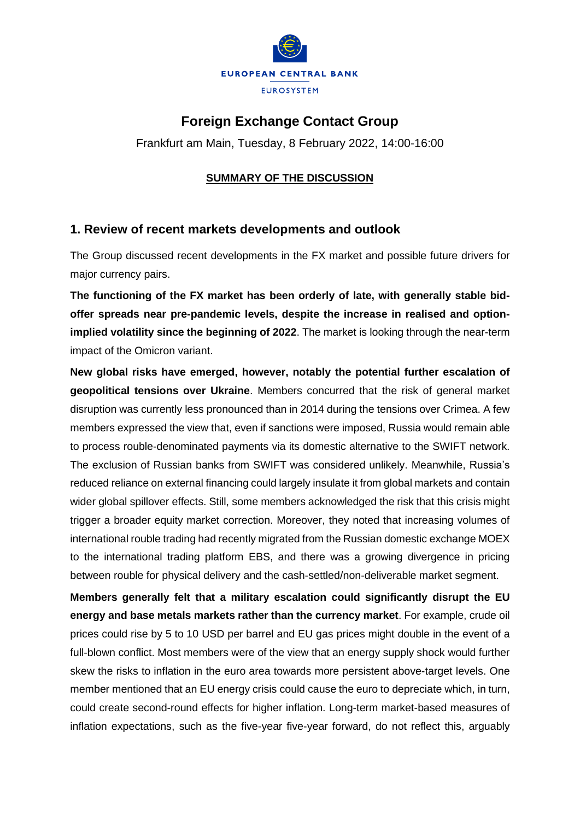

# **Foreign Exchange Contact Group**

Frankfurt am Main, Tuesday, 8 February 2022, 14:00-16:00

#### **SUMMARY OF THE DISCUSSION**

### **1. Review of recent markets developments and outlook**

The Group discussed recent developments in the FX market and possible future drivers for major currency pairs.

**The functioning of the FX market has been orderly of late, with generally stable bidoffer spreads near pre-pandemic levels, despite the increase in realised and optionimplied volatility since the beginning of 2022**. The market is looking through the near-term impact of the Omicron variant.

**New global risks have emerged, however, notably the potential further escalation of geopolitical tensions over Ukraine**. Members concurred that the risk of general market disruption was currently less pronounced than in 2014 during the tensions over Crimea. A few members expressed the view that, even if sanctions were imposed, Russia would remain able to process rouble-denominated payments via its domestic alternative to the SWIFT network. The exclusion of Russian banks from SWIFT was considered unlikely. Meanwhile, Russia's reduced reliance on external financing could largely insulate it from global markets and contain wider global spillover effects. Still, some members acknowledged the risk that this crisis might trigger a broader equity market correction. Moreover, they noted that increasing volumes of international rouble trading had recently migrated from the Russian domestic exchange MOEX to the international trading platform EBS, and there was a growing divergence in pricing between rouble for physical delivery and the cash-settled/non-deliverable market segment.

**Members generally felt that a military escalation could significantly disrupt the EU energy and base metals markets rather than the currency market**. For example, crude oil prices could rise by 5 to 10 USD per barrel and EU gas prices might double in the event of a full-blown conflict. Most members were of the view that an energy supply shock would further skew the risks to inflation in the euro area towards more persistent above-target levels. One member mentioned that an EU energy crisis could cause the euro to depreciate which, in turn, could create second-round effects for higher inflation. Long-term market-based measures of inflation expectations, such as the five-year five-year forward, do not reflect this, arguably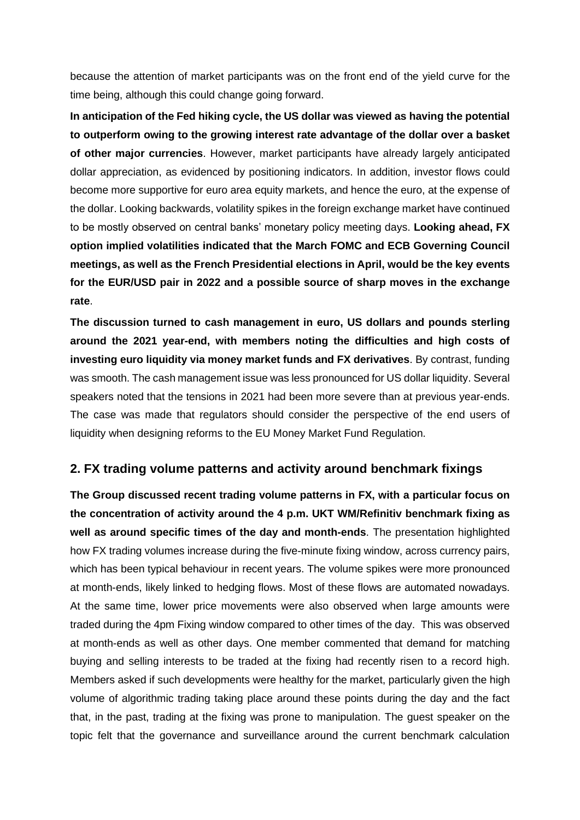because the attention of market participants was on the front end of the yield curve for the time being, although this could change going forward.

**In anticipation of the Fed hiking cycle, the US dollar was viewed as having the potential to outperform owing to the growing interest rate advantage of the dollar over a basket of other major currencies**. However, market participants have already largely anticipated dollar appreciation, as evidenced by positioning indicators. In addition, investor flows could become more supportive for euro area equity markets, and hence the euro, at the expense of the dollar. Looking backwards, volatility spikes in the foreign exchange market have continued to be mostly observed on central banks' monetary policy meeting days. **Looking ahead, FX option implied volatilities indicated that the March FOMC and ECB Governing Council meetings, as well as the French Presidential elections in April, would be the key events for the EUR/USD pair in 2022 and a possible source of sharp moves in the exchange rate**.

**The discussion turned to cash management in euro, US dollars and pounds sterling around the 2021 year-end, with members noting the difficulties and high costs of investing euro liquidity via money market funds and FX derivatives**. By contrast, funding was smooth. The cash management issue was less pronounced for US dollar liquidity. Several speakers noted that the tensions in 2021 had been more severe than at previous year-ends. The case was made that regulators should consider the perspective of the end users of liquidity when designing reforms to the EU Money Market Fund Regulation.

### **2. FX trading volume patterns and activity around benchmark fixings**

**The Group discussed recent trading volume patterns in FX, with a particular focus on the concentration of activity around the 4 p.m. UKT WM/Refinitiv benchmark fixing as well as around specific times of the day and month-ends**. The presentation highlighted how FX trading volumes increase during the five-minute fixing window, across currency pairs, which has been typical behaviour in recent years. The volume spikes were more pronounced at month-ends, likely linked to hedging flows. Most of these flows are automated nowadays. At the same time, lower price movements were also observed when large amounts were traded during the 4pm Fixing window compared to other times of the day. This was observed at month-ends as well as other days. One member commented that demand for matching buying and selling interests to be traded at the fixing had recently risen to a record high. Members asked if such developments were healthy for the market, particularly given the high volume of algorithmic trading taking place around these points during the day and the fact that, in the past, trading at the fixing was prone to manipulation. The guest speaker on the topic felt that the governance and surveillance around the current benchmark calculation